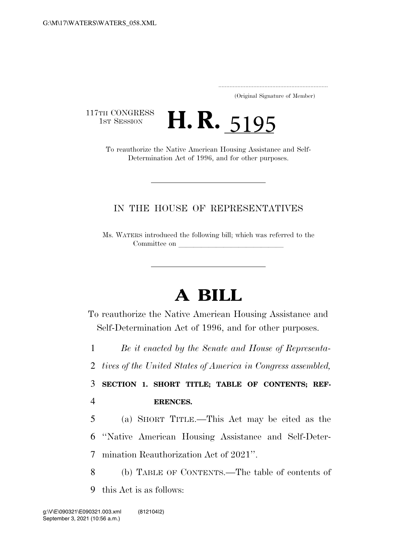..................................................................... (Original Signature of Member)

117TH CONGRESS<br>1st Session

TH CONGRESS<br>
1st Session **H. R.** 5195<br>
To reauthorize the Native American Housing Assistance and Self-

Determination Act of 1996, and for other purposes.

## IN THE HOUSE OF REPRESENTATIVES

Ms. WATERS introduced the following bill; which was referred to the Committee on

# **A BILL**

To reauthorize the Native American Housing Assistance and Self-Determination Act of 1996, and for other purposes.

1 *Be it enacted by the Senate and House of Representa-*

2 *tives of the United States of America in Congress assembled,* 

3 **SECTION 1. SHORT TITLE; TABLE OF CONTENTS; REF-**4 **ERENCES.** 

5 (a) SHORT TITLE.—This Act may be cited as the 6 ''Native American Housing Assistance and Self-Deter-7 mination Reauthorization Act of 2021''.

8 (b) TABLE OF CONTENTS.—The table of contents of 9 this Act is as follows: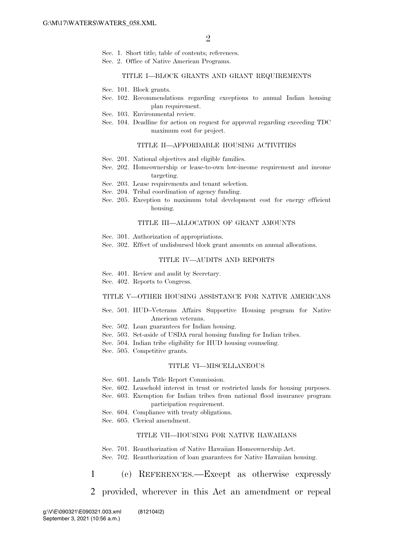- Sec. 1. Short title; table of contents; references.
- Sec. 2. Office of Native American Programs.

### TITLE I—BLOCK GRANTS AND GRANT REQUIREMENTS

- Sec. 101. Block grants.
- Sec. 102. Recommendations regarding exceptions to annual Indian housing plan requirement.
- Sec. 103. Environmental review.
- Sec. 104. Deadline for action on request for approval regarding exceeding TDC maximum cost for project.

### TITLE II—AFFORDABLE HOUSING ACTIVITIES

- Sec. 201. National objectives and eligible families.
- Sec. 202. Homeownership or lease-to-own low-income requirement and income targeting.
- Sec. 203. Lease requirements and tenant selection.
- Sec. 204. Tribal coordination of agency funding.
- Sec. 205. Exception to maximum total development cost for energy efficient housing.

### TITLE III—ALLOCATION OF GRANT AMOUNTS

- Sec. 301. Authorization of appropriations.
- Sec. 302. Effect of undisbursed block grant amounts on annual allocations.

### TITLE IV—AUDITS AND REPORTS

- Sec. 401. Review and audit by Secretary.
- Sec. 402. Reports to Congress.

### TITLE V—OTHER HOUSING ASSISTANCE FOR NATIVE AMERICANS

- Sec. 501. HUD–Veterans Affairs Supportive Housing program for Native American veterans.
- Sec. 502. Loan guarantees for Indian housing.
- Sec. 503. Set-aside of USDA rural housing funding for Indian tribes.
- Sec. 504. Indian tribe eligibility for HUD housing counseling.
- Sec. 505. Competitive grants.

#### TITLE VI—MISCELLANEOUS

- Sec. 601. Lands Title Report Commission.
- Sec. 602. Leasehold interest in trust or restricted lands for housing purposes.
- Sec. 603. Exemption for Indian tribes from national flood insurance program participation requirement.
- Sec. 604. Compliance with treaty obligations.
- Sec. 605. Clerical amendment.

### TITLE VII—HOUSING FOR NATIVE HAWAIIANS

Sec. 701. Reauthorization of Native Hawaiian Homeownership Act.

Sec. 702. Reauthorization of loan guarantees for Native Hawaiian housing.

### 1 (c) REFERENCES.—Except as otherwise expressly

2 provided, wherever in this Act an amendment or repeal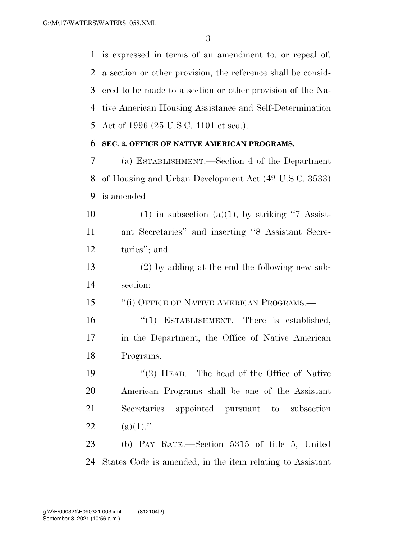is expressed in terms of an amendment to, or repeal of, a section or other provision, the reference shall be consid- ered to be made to a section or other provision of the Na- tive American Housing Assistance and Self-Determination Act of 1996 (25 U.S.C. 4101 et seq.).

### **SEC. 2. OFFICE OF NATIVE AMERICAN PROGRAMS.**

 (a) ESTABLISHMENT.—Section 4 of the Department of Housing and Urban Development Act (42 U.S.C. 3533) is amended—

10 (1) in subsection (a)(1), by striking "7 Assist- ant Secretaries'' and inserting ''8 Assistant Secre-taries''; and

 (2) by adding at the end the following new sub-section:

15 "(i) OFFICE OF NATIVE AMERICAN PROGRAMS.—

16 "(1) ESTABLISHMENT.—There is established, in the Department, the Office of Native American Programs.

 ''(2) HEAD.—The head of the Office of Native American Programs shall be one of the Assistant Secretaries appointed pursuant to subsection 22 (a)(1).".

 (b) PAY RATE.—Section 5315 of title 5, United States Code is amended, in the item relating to Assistant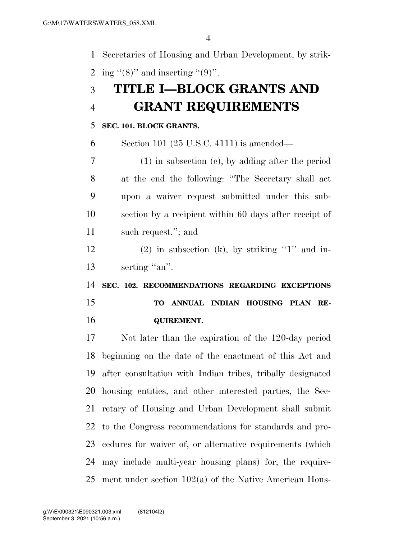Secretaries of Housing and Urban Development, by strik-2 ing "(8)" and inserting "(9)".

# **TITLE I—BLOCK GRANTS AND GRANT REQUIREMENTS**

### **SEC. 101. BLOCK GRANTS.**

Section 101 (25 U.S.C. 4111) is amended—

 (1) in subsection (c), by adding after the period at the end the following: ''The Secretary shall act upon a waiver request submitted under this sub- section by a recipient within 60 days after receipt of such request.''; and

12 (2) in subsection (k), by striking "1" and in-13 serting "an".

 **SEC. 102. RECOMMENDATIONS REGARDING EXCEPTIONS TO ANNUAL INDIAN HOUSING PLAN RE-QUIREMENT.** 

 Not later than the expiration of the 120-day period beginning on the date of the enactment of this Act and after consultation with Indian tribes, tribally designated housing entities, and other interested parties, the Sec- retary of Housing and Urban Development shall submit to the Congress recommendations for standards and pro- cedures for waiver of, or alternative requirements (which may include multi-year housing plans) for, the require-ment under section 102(a) of the Native American Hous-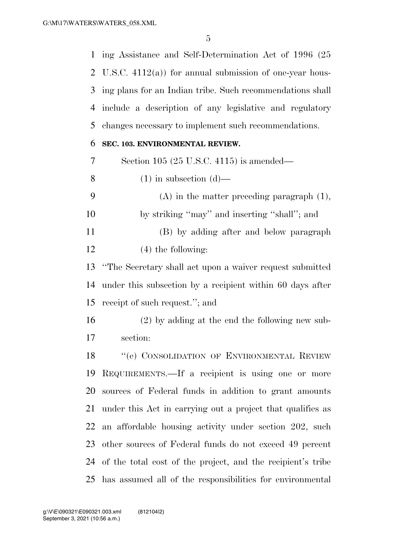ing Assistance and Self-Determination Act of 1996 (25 U.S.C. 4112(a)) for annual submission of one-year hous- ing plans for an Indian tribe. Such recommendations shall include a description of any legislative and regulatory changes necessary to implement such recommendations.

### **SEC. 103. ENVIRONMENTAL REVIEW.**

Section 105 (25 U.S.C. 4115) is amended—

- 8 (1) in subsection  $(d)$ —
- (A) in the matter preceding paragraph (1), by striking ''may'' and inserting ''shall''; and (B) by adding after and below paragraph
- (4) the following:

 ''The Secretary shall act upon a waiver request submitted under this subsection by a recipient within 60 days after receipt of such request.''; and

 (2) by adding at the end the following new sub-section:

18 "(e) CONSOLIDATION OF ENVIRONMENTAL REVIEW REQUIREMENTS.—If a recipient is using one or more sources of Federal funds in addition to grant amounts under this Act in carrying out a project that qualifies as an affordable housing activity under section 202, such other sources of Federal funds do not exceed 49 percent of the total cost of the project, and the recipient's tribe has assumed all of the responsibilities for environmental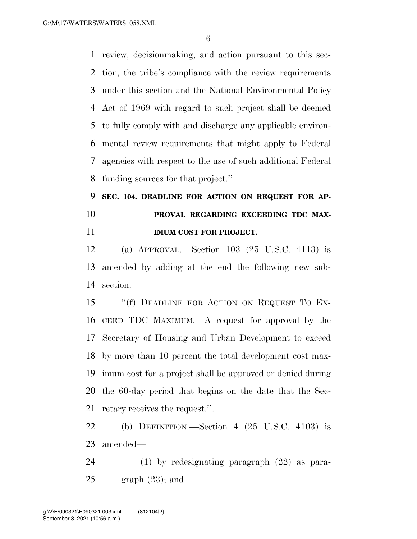G:\M\17\WATERS\WATERS\_058.XML

 review, decisionmaking, and action pursuant to this sec- tion, the tribe's compliance with the review requirements under this section and the National Environmental Policy Act of 1969 with regard to such project shall be deemed to fully comply with and discharge any applicable environ- mental review requirements that might apply to Federal agencies with respect to the use of such additional Federal funding sources for that project.''.

# **SEC. 104. DEADLINE FOR ACTION ON REQUEST FOR AP- PROVAL REGARDING EXCEEDING TDC MAX-IMUM COST FOR PROJECT.**

 (a) APPROVAL.—Section 103 (25 U.S.C. 4113) is amended by adding at the end the following new sub-section:

15 "(f) DEADLINE FOR ACTION ON REQUEST TO EX- CEED TDC MAXIMUM.—A request for approval by the Secretary of Housing and Urban Development to exceed by more than 10 percent the total development cost max- imum cost for a project shall be approved or denied during the 60-day period that begins on the date that the Sec-retary receives the request.''.

 (b) DEFINITION.—Section 4 (25 U.S.C. 4103) is amended—

 (1) by redesignating paragraph (22) as para-25 graph  $(23)$ ; and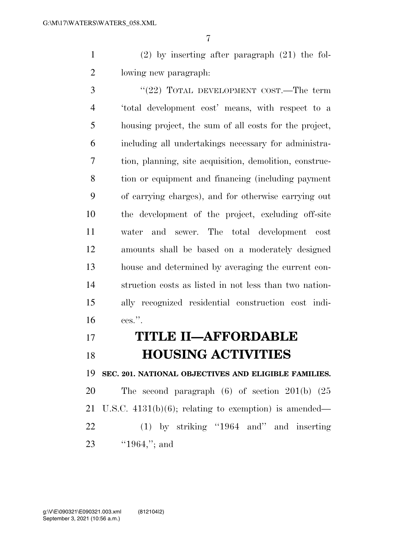(2) by inserting after paragraph (21) the fol-lowing new paragraph:

3 "(22) TOTAL DEVELOPMENT COST.—The term 'total development cost' means, with respect to a housing project, the sum of all costs for the project, including all undertakings necessary for administra- tion, planning, site acquisition, demolition, construc- tion or equipment and financing (including payment of carrying charges), and for otherwise carrying out the development of the project, excluding off-site water and sewer. The total development cost amounts shall be based on a moderately designed house and determined by averaging the current con- struction costs as listed in not less than two nation- ally recognized residential construction cost indi-ces.''.

# **TITLE II—AFFORDABLE HOUSING ACTIVITIES**

**SEC. 201. NATIONAL OBJECTIVES AND ELIGIBLE FAMILIES.** 

 The second paragraph (6) of section 201(b) (25 U.S.C. 4131(b)(6); relating to exemption) is amended— (1) by striking ''1964 and'' and inserting 23 ''1964,"; and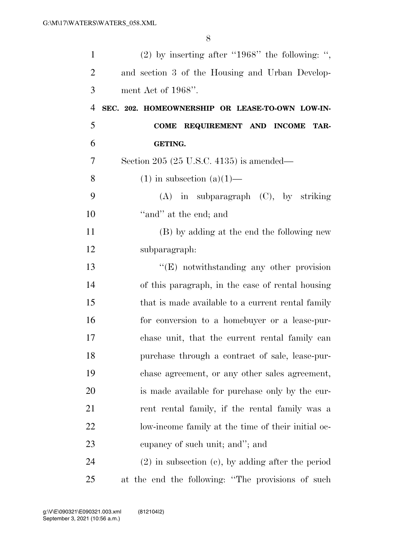| $\mathbf{1}$   | $(2)$ by inserting after "1968" the following: ",      |
|----------------|--------------------------------------------------------|
| $\overline{2}$ | and section 3 of the Housing and Urban Develop-        |
| 3              | ment Act of 1968".                                     |
| 4              | SEC. 202. HOMEOWNERSHIP OR LEASE-TO-OWN LOW-IN-        |
| 5              | COME REQUIREMENT AND INCOME<br>TAR-                    |
| 6              | <b>GETING.</b>                                         |
| 7              | Section 205 (25 U.S.C. 4135) is amended—               |
| 8              | $(1)$ in subsection $(a)(1)$ —                         |
| 9              | $(A)$ in subparagraph $(C)$ , by striking              |
| 10             | "and" at the end; and                                  |
| 11             | (B) by adding at the end the following new             |
| 12             | subparagraph:                                          |
| 13             | $\lq\lq(E)$ notwithstanding any other provision        |
| 14             | of this paragraph, in the case of rental housing       |
| 15             | that is made available to a current rental family      |
| 16             | for conversion to a homebuyer or a lease-pur-          |
| 17             | chase unit, that the current rental family can         |
| 18             | purchase through a contract of sale, lease-pur-        |
| 19             | chase agreement, or any other sales agreement,         |
| 20             | is made available for purchase only by the cur-        |
| 21             | rent rental family, if the rental family was a         |
| 22             | low-income family at the time of their initial oc-     |
| 23             | eupancy of such unit; and"; and                        |
| 24             | $(2)$ in subsection $(e)$ , by adding after the period |
| 25             | at the end the following: "The provisions of such      |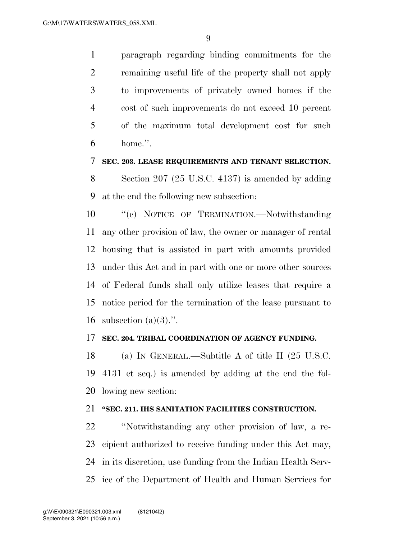paragraph regarding binding commitments for the remaining useful life of the property shall not apply to improvements of privately owned homes if the cost of such improvements do not exceed 10 percent of the maximum total development cost for such home.''.

### **SEC. 203. LEASE REQUIREMENTS AND TENANT SELECTION.**

 Section 207 (25 U.S.C. 4137) is amended by adding at the end the following new subsection:

10 "'(c) NOTICE OF TERMINATION.—Notwithstanding any other provision of law, the owner or manager of rental housing that is assisted in part with amounts provided under this Act and in part with one or more other sources of Federal funds shall only utilize leases that require a notice period for the termination of the lease pursuant to 16 subsection  $(a)(3)$ .".

### **SEC. 204. TRIBAL COORDINATION OF AGENCY FUNDING.**

 (a) IN GENERAL.—Subtitle A of title II (25 U.S.C. 4131 et seq.) is amended by adding at the end the fol-lowing new section:

### **''SEC. 211. IHS SANITATION FACILITIES CONSTRUCTION.**

 ''Notwithstanding any other provision of law, a re- cipient authorized to receive funding under this Act may, in its discretion, use funding from the Indian Health Serv-ice of the Department of Health and Human Services for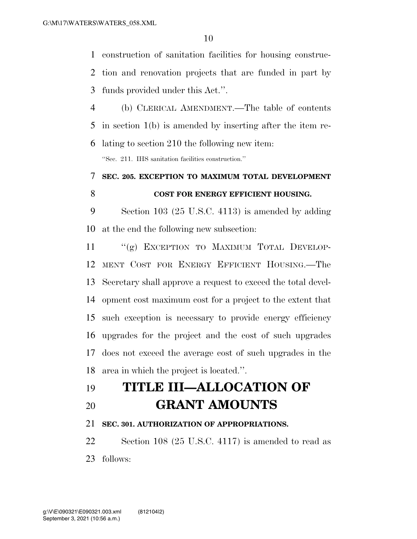construction of sanitation facilities for housing construc-

 tion and renovation projects that are funded in part by funds provided under this Act.''.

 (b) CLERICAL AMENDMENT.—The table of contents in section 1(b) is amended by inserting after the item re-lating to section 210 the following new item:

''Sec. 211. IHS sanitation facilities construction.''

# **SEC. 205. EXCEPTION TO MAXIMUM TOTAL DEVELOPMENT COST FOR ENERGY EFFICIENT HOUSING.**

 Section 103 (25 U.S.C. 4113) is amended by adding at the end the following new subsection:

11 "(g) EXCEPTION TO MAXIMUM TOTAL DEVELOP- MENT COST FOR ENERGY EFFICIENT HOUSING.—The Secretary shall approve a request to exceed the total devel- opment cost maximum cost for a project to the extent that such exception is necessary to provide energy efficiency upgrades for the project and the cost of such upgrades does not exceed the average cost of such upgrades in the area in which the project is located.''.

# **TITLE III—ALLOCATION OF**

**GRANT AMOUNTS** 

## **SEC. 301. AUTHORIZATION OF APPROPRIATIONS.**

 Section 108 (25 U.S.C. 4117) is amended to read as follows: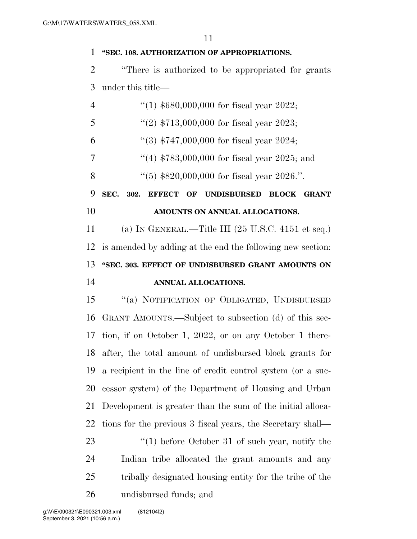## **''SEC. 108. AUTHORIZATION OF APPROPRIATIONS.**

 ''There is authorized to be appropriated for grants under this title—

| $\overline{4}$ | "(1) $$680,000,000$ for fiscal year 2022;                             |
|----------------|-----------------------------------------------------------------------|
| 5              | "(2) $$713,000,000$ for fiscal year 2023;                             |
| 6              | $(3)$ \$747,000,000 for fiscal year 2024;                             |
| 7              | "(4) $$783,000,000$ for fiscal year 2025; and                         |
| 8              | $(5)$ \$820,000,000 for fiscal year 2026.".                           |
| 9              | SEC.<br>EFFECT OF UNDISBURSED BLOCK<br>302.<br><b>GRANT</b>           |
| 10             | AMOUNTS ON ANNUAL ALLOCATIONS.                                        |
| 11             | (a) IN GENERAL.—Title III $(25 \text{ U.S.C. } 4151 \text{ et seq.})$ |
| 12             | is amended by adding at the end the following new section:            |
| 13             | "SEC. 303. EFFECT OF UNDISBURSED GRANT AMOUNTS ON                     |
| 14             | ANNUAL ALLOCATIONS.                                                   |
| 15             | "(a) NOTIFICATION OF OBLIGATED, UNDISBURSED                           |
| 16             | GRANT AMOUNTS.—Subject to subsection (d) of this sec-                 |
| 17             | tion, if on October 1, 2022, or on any October 1 there-               |
| 18             | after, the total amount of undisbursed block grants for               |
| 19             | a recipient in the line of credit control system (or a suc-           |
| 20             | cessor system) of the Department of Housing and Urban                 |
|                | 21 Development is greater than the sum of the initial alloca-         |
| 22             | tions for the previous 3 fiscal years, the Secretary shall—           |
| 23             | $(1)$ before October 31 of such year, notify the                      |
| 24             | Indian tribe allocated the grant amounts and any                      |
| 25             | tribally designated housing entity for the tribe of the               |
| 26             | undisbursed funds; and                                                |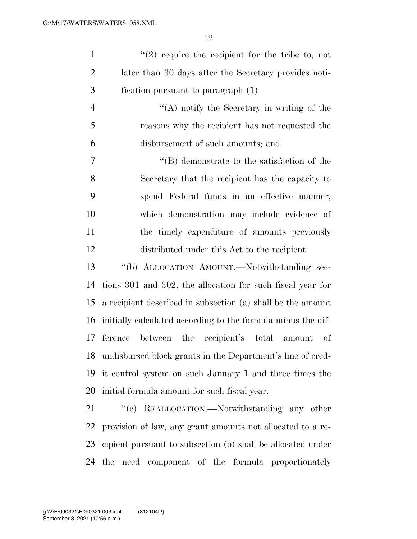| $\mathbf{1}$   | $(2)$ require the recipient for the tribe to, not             |
|----------------|---------------------------------------------------------------|
| $\overline{2}$ | later than 30 days after the Secretary provides noti-         |
| 3              | fication pursuant to paragraph $(1)$ —                        |
| $\overline{4}$ | "(A) notify the Secretary in writing of the                   |
| 5              | reasons why the recipient has not requested the               |
| 6              | disbursement of such amounts; and                             |
| 7              | $\lq\lq (B)$ demonstrate to the satisfaction of the           |
| 8              | Secretary that the recipient has the capacity to              |
| 9              | spend Federal funds in an effective manner,                   |
| 10             | which demonstration may include evidence of                   |
| 11             | the timely expenditure of amounts previously                  |
| 12             | distributed under this Act to the recipient.                  |
| 13             | "(b) ALLOCATION AMOUNT.—Notwithstanding sec-                  |
| 14             | tions 301 and 302, the allocation for such fiscal year for    |
| 15             | a recipient described in subsection (a) shall be the amount   |
| 16             | initially calculated according to the formula minus the dif-  |
| 17             | between the recipient's total amount<br>ference<br>οf         |
|                | 18 undisbursed block grants in the Department's line of cred- |
| 19             | it control system on such January 1 and three times the       |
| 20             | initial formula amount for such fiscal year.                  |
| 21             | "(c) REALLOCATION.—Notwithstanding any other                  |
| 22             | provision of law, any grant amounts not allocated to a re-    |
| 23             | eipient pursuant to subsection (b) shall be allocated under   |

the need component of the formula proportionately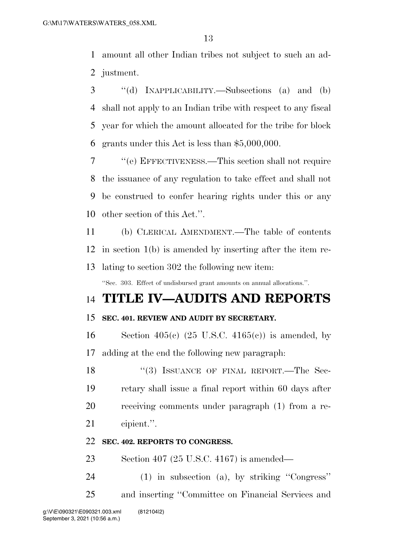amount all other Indian tribes not subject to such an ad-justment.

 ''(d) INAPPLICABILITY.—Subsections (a) and (b) shall not apply to an Indian tribe with respect to any fiscal year for which the amount allocated for the tribe for block grants under this Act is less than \$5,000,000.

 ''(e) EFFECTIVENESS.—This section shall not require the issuance of any regulation to take effect and shall not be construed to confer hearing rights under this or any other section of this Act.''.

 (b) CLERICAL AMENDMENT.—The table of contents in section 1(b) is amended by inserting after the item re-lating to section 302 the following new item:

''Sec. 303. Effect of undisbursed grant amounts on annual allocations.''.

## **TITLE IV—AUDITS AND REPORTS**

### **SEC. 401. REVIEW AND AUDIT BY SECRETARY.**

16 Section 405(c)  $(25 \text{ U.S.C. } 4165(c))$  is amended, by adding at the end the following new paragraph:

18 "(3) ISSUANCE OF FINAL REPORT.—The Sec- retary shall issue a final report within 60 days after receiving comments under paragraph (1) from a re-cipient.''.

### **SEC. 402. REPORTS TO CONGRESS.**

Section 407 (25 U.S.C. 4167) is amended—

(1) in subsection (a), by striking ''Congress''

and inserting ''Committee on Financial Services and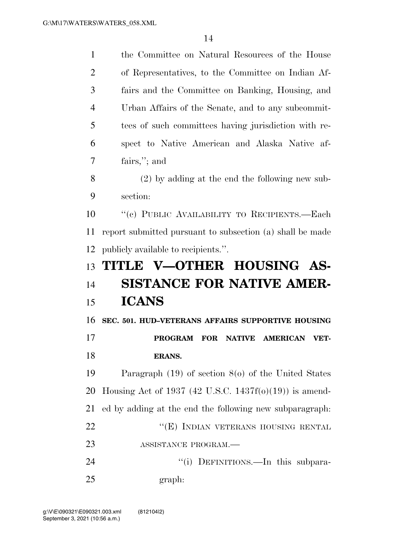| $\mathbf{1}$   | the Committee on Natural Resources of the House           |
|----------------|-----------------------------------------------------------|
| $\overline{2}$ | of Representatives, to the Committee on Indian Af-        |
| 3              | fairs and the Committee on Banking, Housing, and          |
| $\overline{4}$ | Urban Affairs of the Senate, and to any subcommit-        |
| 5              | tees of such committees having jurisdiction with re-      |
| 6              | spect to Native American and Alaska Native af-            |
| 7              | fairs,"; and                                              |
| 8              | $(2)$ by adding at the end the following new sub-         |
| 9              | section:                                                  |
| 10             | "(c) PUBLIC AVAILABILITY TO RECIPIENTS.-Each              |
| 11             | report submitted pursuant to subsection (a) shall be made |
| 12             | publicly available to recipients.".                       |
|                |                                                           |
| 13             | TITLE V-OTHER HOUSING AS-                                 |
| 14             | SISTANCE FOR NATIVE AMER-                                 |
| 15             | <b>ICANS</b>                                              |
| 16             | SEC. 501. HUD-VETERANS AFFAIRS SUPPORTIVE HOUSING         |
| 17             | <b>PROGRAM</b><br>NATIVE AMERICAN<br><b>FOR</b><br>VET-   |
| 18             | ERANS.                                                    |
| 19             | Paragraph $(19)$ of section $8(0)$ of the United States   |
| 20             | Housing Act of 1937 (42 U.S.C. 1437f(o)(19)) is amend-    |
| 21             | ed by adding at the end the following new subparagraph.   |
| 22             | "(E) INDIAN VETERANS HOUSING RENTAL                       |
| 23             | ASSISTANCE PROGRAM.                                       |
| 24             | "(i) DEFINITIONS.—In this subpara-                        |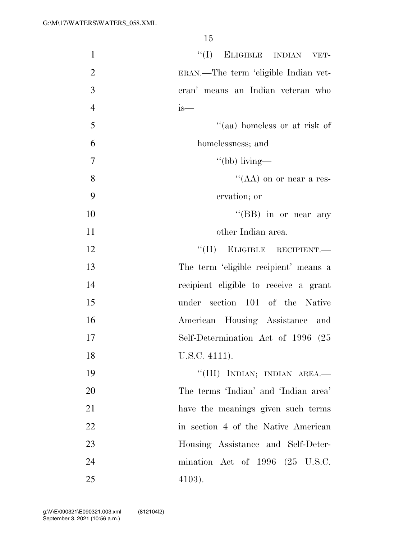| $\mathbf{1}$   | "(I) ELIGIBLE INDIAN VET-                    |
|----------------|----------------------------------------------|
| $\overline{2}$ | ERAN.—The term 'eligible Indian vet-         |
| 3              | eran' means an Indian veteran who            |
| $\overline{4}$ | is—                                          |
| 5              | "(aa) homeless or at risk of                 |
| 6              | homelessness; and                            |
| $\overline{7}$ | "(bb) living—                                |
| 8              | "(AA) on or near a res-                      |
| 9              | ervation; or                                 |
| 10             | "(BB) in or near any                         |
| 11             | other Indian area.                           |
| 12             | "(II) ELIGIBLE RECIPIENT.                    |
| 13             | The term 'eligible recipient' means a        |
| 14             | recipient eligible to receive a grant        |
| 15             | under section 101 of the Native              |
| 16             | American Housing Assistance and              |
| 17             | Self-Determination Act of 1996 (25           |
| 18             | U.S.C. 4111).                                |
| 19             | "(III) INDIAN; INDIAN AREA.-                 |
| 20             | The terms 'Indian' and 'Indian area'         |
| 21             | have the meanings given such terms           |
| 22             | in section 4 of the Native American          |
| 23             | Housing Assistance and Self-Deter-           |
| 24             | mination Act of $1996$ $(25 \text{ U.S.C.})$ |
| 25             | $4103$ ).                                    |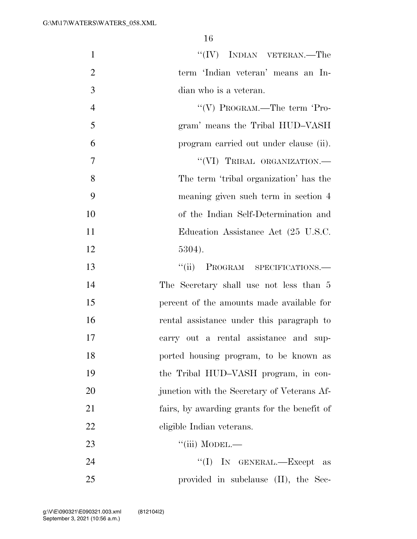| $\mathbf{1}$   | $``(IV)$ INDIAN VETERAN.—The                 |
|----------------|----------------------------------------------|
| $\overline{2}$ | term 'Indian veteran' means an In-           |
| 3              | dian who is a veteran.                       |
| $\overline{4}$ | "(V) PROGRAM.—The term 'Pro-                 |
| 5              | gram' means the Tribal HUD-VASH              |
| 6              | program carried out under clause (ii).       |
| 7              | "(VI) TRIBAL ORGANIZATION.-                  |
| 8              | The term 'tribal organization' has the       |
| 9              | meaning given such term in section 4         |
| 10             | of the Indian Self-Determination and         |
| 11             | Education Assistance Act (25 U.S.C.          |
| 12             | 5304).                                       |
| 13             | PROGRAM SPECIFICATIONS.<br>``(ii)            |
| 14             | The Secretary shall use not less than 5      |
| 15             | percent of the amounts made available for    |
| 16             | rental assistance under this paragraph to    |
| 17             | carry out a rental assistance and sup-       |
| 18             | ported housing program, to be known as       |
| 19             | the Tribal HUD-VASH program, in con-         |
| 20             | junction with the Secretary of Veterans Af-  |
| 21             | fairs, by awarding grants for the benefit of |
| 22             | eligible Indian veterans.                    |
| 23             | ``(iii) MODEL.                               |
| 24             | "(I) IN GENERAL.—Except as                   |
| 25             | provided in subclause (II), the Sec-         |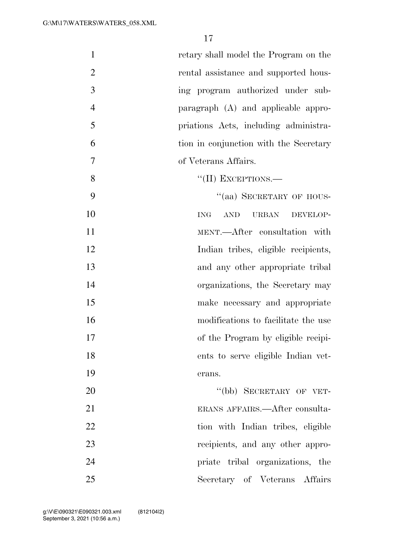| $\mathbf{1}$   | retary shall model the Program on the                   |
|----------------|---------------------------------------------------------|
| $\overline{2}$ | rental assistance and supported hous-                   |
| 3              | ing program authorized under sub-                       |
| $\overline{4}$ | paragraph (A) and applicable appro-                     |
| 5              | priations Acts, including administra-                   |
| 6              | tion in conjunction with the Secretary                  |
| $\overline{7}$ | of Veterans Affairs.                                    |
| 8              | $``(II)$ EXCEPTIONS.—                                   |
| 9              | "(aa) SECRETARY OF HOUS-                                |
| 10             | $\operatorname{AND}$<br><b>URBAN</b><br>ING<br>DEVELOP- |
| 11             | MENT.—After consultation with                           |
| 12             | Indian tribes, eligible recipients,                     |
| 13             | and any other appropriate tribal                        |
| 14             | organizations, the Secretary may                        |
| 15             | make necessary and appropriate                          |
| 16             | modifications to facilitate the use                     |
| 17             | of the Program by eligible recipi-                      |
| 18             | ents to serve eligible Indian vet-                      |
| 19             | erans.                                                  |
| 20             | "(bb) SECRETARY OF VET-                                 |
| 21             | ERANS AFFAIRS.—After consulta-                          |
| 22             | tion with Indian tribes, eligible                       |
| 23             | recipients, and any other appro-                        |
| 24             | priate tribal organizations, the                        |
| 25             | Secretary of Veterans Affairs                           |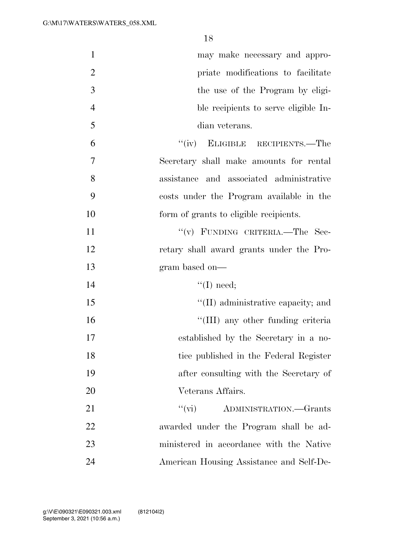| $\mathbf{1}$   | may make necessary and appro-            |
|----------------|------------------------------------------|
| $\overline{2}$ | priate modifications to facilitate       |
| 3              | the use of the Program by eligi-         |
| $\overline{4}$ | ble recipients to serve eligible In-     |
| 5              | dian veterans.                           |
| 6              | ``(iv)<br>ELIGIBLE RECIPIENTS.—The       |
| $\overline{7}$ | Secretary shall make amounts for rental  |
| 8              | assistance and associated administrative |
| 9              | costs under the Program available in the |
| 10             | form of grants to eligible recipients.   |
| 11             | "(v) FUNDING CRITERIA.—The Sec-          |
| 12             | retary shall award grants under the Pro- |
| 13             | gram based on-                           |
| 14             | $\lq\lq$ (I) need;                       |
| 15             | "(II) administrative capacity; and       |
| 16             | "(III) any other funding criteria        |
| 17             | established by the Secretary in a no-    |
| 18             | tice published in the Federal Register   |
| 19             | after consulting with the Secretary of   |
| 20             | Veterans Affairs.                        |
| 21             | ``(vi)<br>ADMINISTRATION.-Grants         |
| 22             | awarded under the Program shall be ad-   |
| 23             | ministered in accordance with the Native |
| 24             | American Housing Assistance and Self-De- |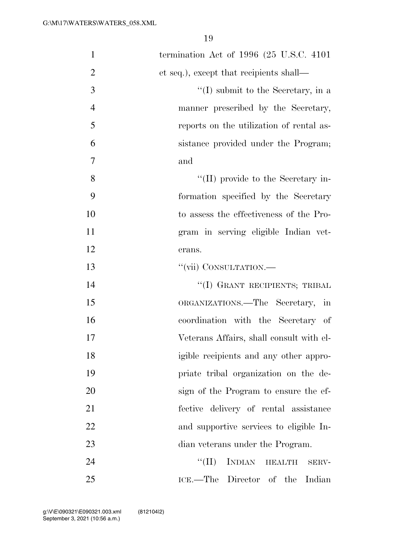| $\mathbf{1}$   | termination Act of $1996$ (25 U.S.C. 4101)        |
|----------------|---------------------------------------------------|
| $\overline{2}$ | et seq.), except that recipients shall—           |
| 3              | $\lq\lq$ submit to the Secretary, in a            |
| $\overline{4}$ | manner prescribed by the Secretary,               |
| 5              | reports on the utilization of rental as-          |
| 6              | sistance provided under the Program;              |
| 7              | and                                               |
| 8              | "(II) provide to the Secretary in-                |
| 9              | formation specified by the Secretary              |
| 10             | to assess the effectiveness of the Pro-           |
| 11             | gram in serving eligible Indian vet-              |
| 12             | erans.                                            |
| 13             | "(vii) CONSULTATION.—                             |
| 14             | "(I) GRANT RECIPIENTS; TRIBAL                     |
| 15             | ORGANIZATIONS.—The Secretary, in                  |
| 16             | coordination with the Secretary of                |
| 17             | Veterans Affairs, shall consult with el-          |
| 18             | igible recipients and any other appro-            |
| 19             | priate tribal organization on the de-             |
| 20             | sign of the Program to ensure the ef-             |
| 21             | fective delivery of rental assistance             |
| 22             | and supportive services to eligible In-           |
| 23             | dian veterans under the Program.                  |
| 24             | <b>INDIAN</b><br>``(II)<br><b>HEALTH</b><br>SERV- |
| 25             | ICE.—The Director of the Indian                   |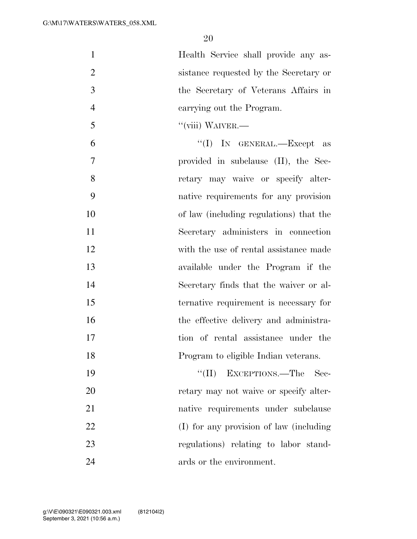Health Service shall provide any as- sistance requested by the Secretary or the Secretary of Veterans Affairs in carrying out the Program.

''(viii) WAIVER.—

 ''(I) IN GENERAL.—Except as provided in subclause (II), the Sec- retary may waive or specify alter- native requirements for any provision of law (including regulations) that the Secretary administers in connection with the use of rental assistance made available under the Program if the Secretary finds that the waiver or al- ternative requirement is necessary for 16 the effective delivery and administra- tion of rental assistance under the Program to eligible Indian veterans.

19 ''(II) EXCEPTIONS.—The Sec-20 retary may not waive or specify alter- native requirements under subclause (I) for any provision of law (including regulations) relating to labor stand-24 ards or the environment.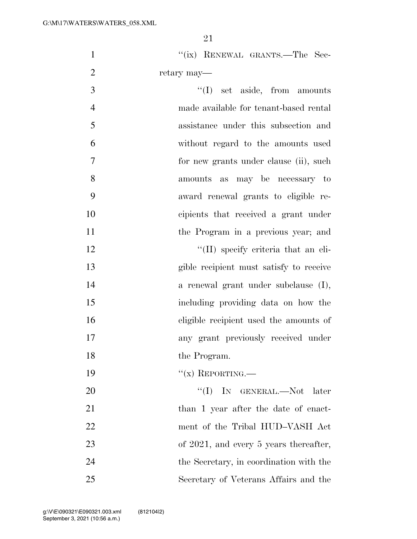|                | 21                                      |
|----------------|-----------------------------------------|
| $\mathbf{1}$   | "(ix) RENEWAL GRANTS.—The Sec-          |
| $\overline{2}$ | retary may—                             |
| 3              | ``(I)<br>set aside, from amounts        |
| $\overline{4}$ | made available for tenant-based rental  |
| 5              | assistance under this subsection and    |
| 6              | without regard to the amounts used      |
| $\overline{7}$ | for new grants under clause (ii), such  |
| 8              | may be necessary to<br>amounts<br>as    |
| 9              | award renewal grants to eligible re-    |
| 10             | cipients that received a grant under    |
| 11             | the Program in a previous year; and     |
| 12             | "(II) specify criteria that an eli-     |
| 13             | gible recipient must satisfy to receive |
| 14             | a renewal grant under subclause (I),    |
| 15             | including providing data on how the     |
| 16             | eligible recipient used the amounts of  |
| 17             | any grant previously received under     |
| 18             | the Program.                            |
| 19             | $f'(x)$ REPORTING.—                     |

20 ''(I) IN GENERAL.—Not later 21 than 1 year after the date of enact-22 ment of the Tribal HUD–VASH Act 23 of 2021, and every 5 years thereafter, 24 the Secretary, in coordination with the 25 Secretary of Veterans Affairs and the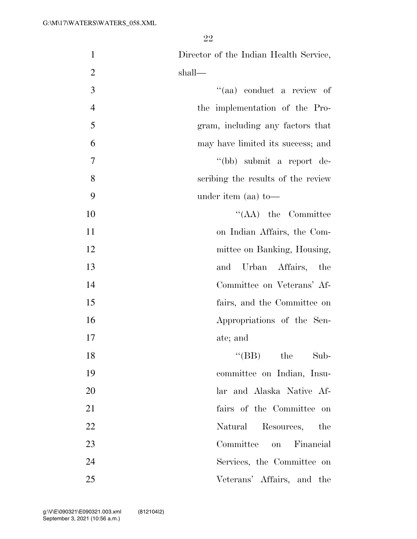| $\mathbf{1}$   | Director of the Indian Health Service, |
|----------------|----------------------------------------|
| $\overline{2}$ | shall—                                 |
| 3              | "(aa) conduct a review of              |
| $\overline{4}$ | the implementation of the Pro-         |
| 5              | gram, including any factors that       |
| 6              | may have limited its success; and      |
| $\tau$         | "(bb) submit a report de-              |
| 8              | scribing the results of the review     |
| 9              | under item (aa) to-                    |
| 10             | $\lq\lq$ (AA) the Committee            |
| 11             | on Indian Affairs, the Com-            |
| 12             | mittee on Banking, Housing,            |
| 13             | and Urban Affairs, the                 |
| 14             | Committee on Veterans' Af-             |
| 15             | fairs, and the Committee on            |
| 16             | Appropriations of the Sen-             |
| 17             | ate; and                               |
| 18             | $\lq\lq(BB)$ the Sub-                  |
| 19             | committee on Indian, Insu-             |
| 20             | lar and Alaska Native Af-              |
| 21             | fairs of the Committee on              |
| 22             | Natural Resources, the                 |
| 23             | Committee<br>on Financial              |
| 24             | Services, the Committee on             |
| 25             | Veterans' Affairs, and the             |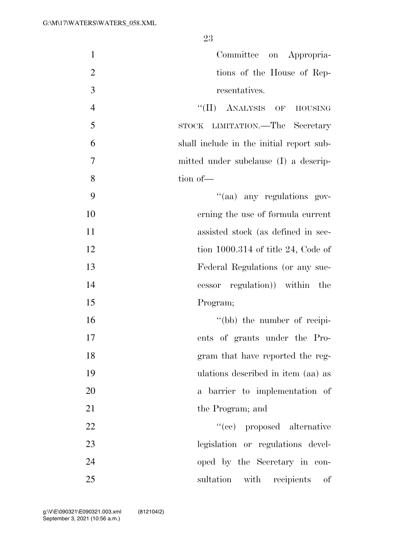| $\mathbf{1}$     | Committee on Appropria-                  |
|------------------|------------------------------------------|
| $\overline{2}$   | tions of the House of Rep-               |
| $\mathfrak{Z}$   | resentatives.                            |
| $\overline{4}$   | "(II) ANALYSIS OF HOUSING                |
| 5                | STOCK LIMITATION.—The Secretary          |
| 6                | shall include in the initial report sub- |
| $\boldsymbol{7}$ | mitted under subclause (I) a descrip-    |
| 8                | tion of-                                 |
| 9                | "(aa) any regulations gov-               |
| 10               | erning the use of formula current        |
| 11               | assisted stock (as defined in sec-       |
| 12               | tion $1000.314$ of title 24, Code of     |
| 13               | Federal Regulations (or any suc-         |
| 14               | cessor regulation) within the            |
| 15               | Program;                                 |
| 16               | "(bb) the number of recipi-              |
| 17               | ents of grants under the Pro-            |
| 18               | gram that have reported the reg-         |
| 19               | ulations described in item (aa) as       |
| 20               | a barrier to implementation of           |
| 21               | the Program; and                         |
| 22               | "(cc) proposed alternative               |
| 23               | legislation or regulations devel-        |
| 24               | oped by the Secretary in con-            |
| 25               | sultation with recipients<br>of          |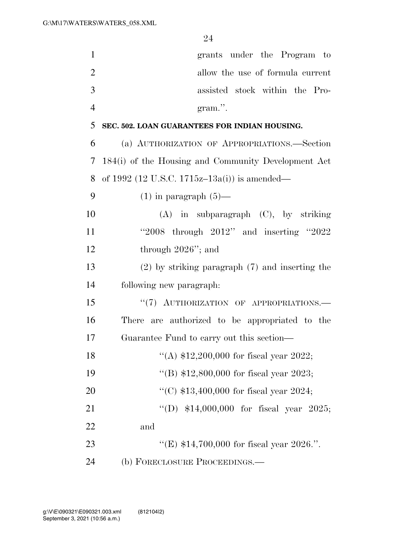| $\mathbf{1}$   | grants under the Program to                         |
|----------------|-----------------------------------------------------|
| $\overline{2}$ | allow the use of formula current                    |
| 3              | assisted stock within the Pro-                      |
| $\overline{4}$ | gram.".                                             |
| 5              | SEC. 502. LOAN GUARANTEES FOR INDIAN HOUSING.       |
| 6              | (a) AUTHORIZATION OF APPROPRIATIONS.—Section        |
| 7              | 184(i) of the Housing and Community Development Act |
| 8              | of 1992 (12 U.S.C. 1715z-13a(i)) is amended—        |
| 9              | $(1)$ in paragraph $(5)$ —                          |
| 10             | $(A)$ in subparagraph $(C)$ , by striking           |
| 11             | "2008 through $2012"$ and inserting "2022"          |
| 12             | through 2026"; and                                  |
| 13             | $(2)$ by striking paragraph $(7)$ and inserting the |
| 14             | following new paragraph:                            |
| 15             | "(7) AUTHORIZATION OF APPROPRIATIONS.-              |
| 16             | There are authorized to be appropriated to the      |
| 17             | Guarantee Fund to carry out this section—           |
| 18             | "(A) $$12,200,000$ for fiscal year 2022;            |
| 19             | "(B) $$12,800,000$ for fiscal year 2023;            |
| 20             | "(C) $$13,400,000$ for fiscal year 2024;            |
| 21             | "(D) $$14,000,000$ for fiscal year 2025;            |
| 22             | and                                                 |
| 23             | "(E) $$14,700,000$ for fiscal year 2026.".          |
| 24             | (b) FORECLOSURE PROCEEDINGS.—                       |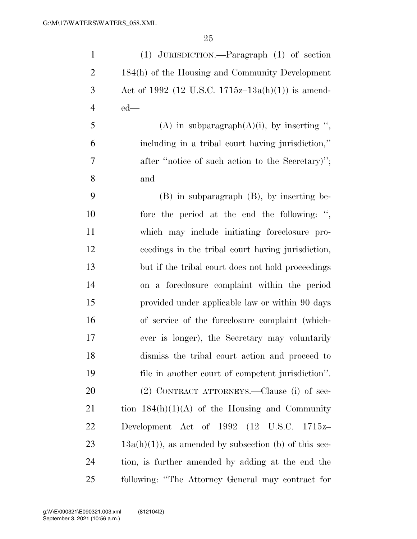| $\mathbf{1}$   | $(1)$ JURISDICTION.—Paragraph $(1)$ of section          |
|----------------|---------------------------------------------------------|
| $\overline{2}$ | 184(h) of the Housing and Community Development         |
| 3              | Act of 1992 (12 U.S.C. 1715z–13a(h)(1)) is amend-       |
| $\overline{4}$ | $ed$ —                                                  |
| 5              | (A) in subparagraph(A)(i), by inserting ",              |
| 6              | including in a tribal court having jurisdiction,"       |
| 7              | after "notice of such action to the Secretary)";        |
| 8              | and                                                     |
| 9              | $(B)$ in subparagraph $(B)$ , by inserting be-          |
| 10             | fore the period at the end the following: ",            |
| 11             | which may include initiating foreclosure pro-           |
| 12             | ceedings in the tribal court having jurisdiction,       |
| 13             | but if the tribal court does not hold proceedings       |
| 14             | on a foreclosure complaint within the period            |
| 15             | provided under applicable law or within 90 days         |
| 16             | of service of the foreclosure complaint (which-         |
| 17             | ever is longer), the Secretary may voluntarily          |
| 18             | dismiss the tribal court action and proceed to          |
| 19             | file in another court of competent jurisdiction".       |
| 20             | (2) CONTRACT ATTORNEYS.—Clause (i) of sec-              |
| 21             | tion $184(h)(1)(A)$ of the Housing and Community        |
| 22             | Development Act of 1992 (12 U.S.C. 1715z-               |
| 23             | $13a(h)(1)$ , as amended by subsection (b) of this sec- |
| 24             | tion, is further amended by adding at the end the       |
| 25             | following: "The Attorney General may contract for       |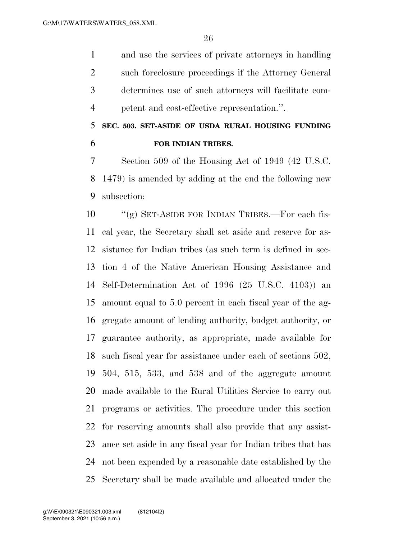and use the services of private attorneys in handling such foreclosure proceedings if the Attorney General determines use of such attorneys will facilitate com-petent and cost-effective representation.''.

 **SEC. 503. SET-ASIDE OF USDA RURAL HOUSING FUNDING FOR INDIAN TRIBES.** 

 Section 509 of the Housing Act of 1949 (42 U.S.C. 1479) is amended by adding at the end the following new subsection:

 ''(g) SET-ASIDE FOR INDIAN TRIBES.—For each fis- cal year, the Secretary shall set aside and reserve for as- sistance for Indian tribes (as such term is defined in sec- tion 4 of the Native American Housing Assistance and Self-Determination Act of 1996 (25 U.S.C. 4103)) an amount equal to 5.0 percent in each fiscal year of the ag- gregate amount of lending authority, budget authority, or guarantee authority, as appropriate, made available for such fiscal year for assistance under each of sections 502, 504, 515, 533, and 538 and of the aggregate amount made available to the Rural Utilities Service to carry out programs or activities. The procedure under this section for reserving amounts shall also provide that any assist- ance set aside in any fiscal year for Indian tribes that has not been expended by a reasonable date established by the Secretary shall be made available and allocated under the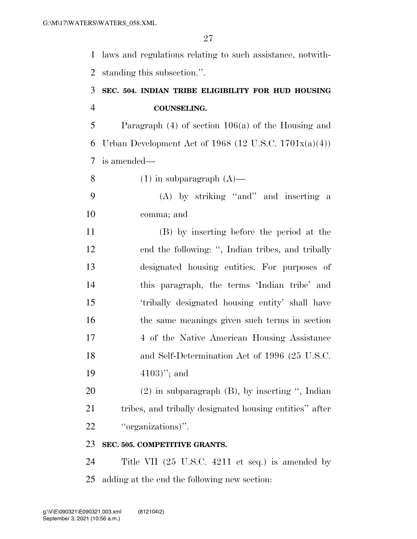laws and regulations relating to such assistance, notwith-standing this subsection.''.

## **SEC. 504. INDIAN TRIBE ELIGIBILITY FOR HUD HOUSING COUNSELING.**

 Paragraph (4) of section 106(a) of the Housing and 6 Urban Development Act of 1968 (12 U.S.C. 1701 $x(a)(4)$ ) is amended—

8 (1) in subparagraph  $(A)$ —

 (A) by striking ''and'' and inserting a comma; and

 (B) by inserting before the period at the end the following: '', Indian tribes, and tribally designated housing entities. For purposes of this paragraph, the terms 'Indian tribe' and 'tribally designated housing entity' shall have the same meanings given such terms in section 4 of the Native American Housing Assistance and Self-Determination Act of 1996 (25 U.S.C. 4103)''; and

 (2) in subparagraph (B), by inserting '', Indian tribes, and tribally designated housing entities'' after ''organizations)''.

### **SEC. 505. COMPETITIVE GRANTS.**

 Title VII (25 U.S.C. 4211 et seq.) is amended by adding at the end the following new section: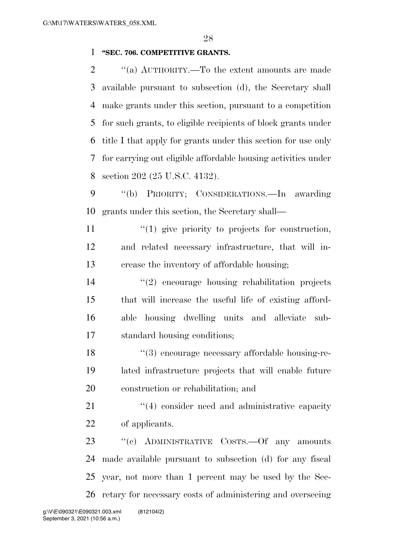### **''SEC. 706. COMPETITIVE GRANTS.**

 ''(a) AUTHORITY.—To the extent amounts are made available pursuant to subsection (d), the Secretary shall make grants under this section, pursuant to a competition for such grants, to eligible recipients of block grants under title I that apply for grants under this section for use only for carrying out eligible affordable housing activities under section 202 (25 U.S.C. 4132).

 ''(b) PRIORITY; CONSIDERATIONS.—In awarding grants under this section, the Secretary shall—

 $\mathcal{L}(1)$  give priority to projects for construction, and related necessary infrastructure, that will in-crease the inventory of affordable housing;

 ''(2) encourage housing rehabilitation projects that will increase the useful life of existing afford- able housing dwelling units and alleviate sub-standard housing conditions;

 ''(3) encourage necessary affordable housing-re- lated infrastructure projects that will enable future construction or rehabilitation; and

21 ''(4) consider need and administrative capacity of applicants.

23 "(c) ADMINISTRATIVE COSTS.—Of any amounts made available pursuant to subsection (d) for any fiscal year, not more than 1 percent may be used by the Sec-retary for necessary costs of administering and overseeing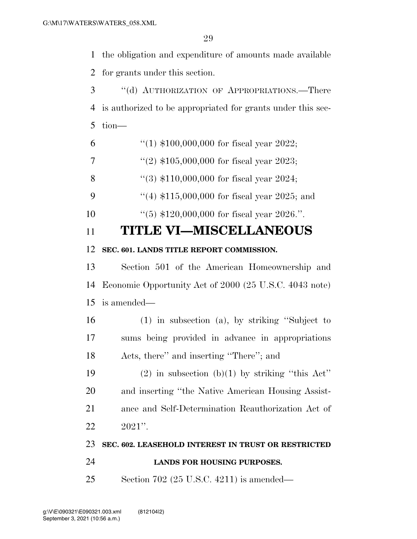the obligation and expenditure of amounts made available for grants under this section.

 ''(d) AUTHORIZATION OF APPROPRIATIONS.—There is authorized to be appropriated for grants under this sec-tion—

- 6  $\frac{4}{1}$  \$100,000,000 for fiscal year 2022;
- 7  $\frac{1}{2}$   $\frac{1}{2}$  \$105,000,000 for fiscal year 2023;
- ''(3) \$110,000,000 for fiscal year 2024;

9 ''(4) \$115,000,000 for fiscal year 2025; and

''(5) \$120,000,000 for fiscal year 2026.''.

## **TITLE VI—MISCELLANEOUS**

### **SEC. 601. LANDS TITLE REPORT COMMISSION.**

 Section 501 of the American Homeownership and Economic Opportunity Act of 2000 (25 U.S.C. 4043 note) is amended—

 (1) in subsection (a), by striking ''Subject to sums being provided in advance in appropriations Acts, there'' and inserting ''There''; and

19 (2) in subsection (b)(1) by striking "this Act" and inserting ''the Native American Housing Assist- ance and Self-Determination Reauthorization Act of 2021''.

### **SEC. 602. LEASEHOLD INTEREST IN TRUST OR RESTRICTED**

- **LANDS FOR HOUSING PURPOSES.**
- Section 702 (25 U.S.C. 4211) is amended—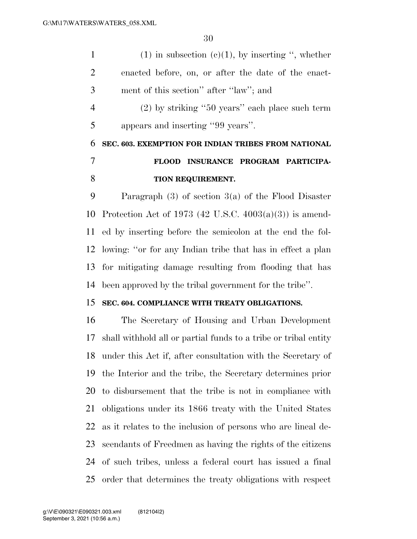1 (1) in subsection  $(c)(1)$ , by inserting ", whether enacted before, on, or after the date of the enact- ment of this section'' after ''law''; and (2) by striking ''50 years'' each place such term appears and inserting ''99 years''. **SEC. 603. EXEMPTION FOR INDIAN TRIBES FROM NATIONAL FLOOD INSURANCE PROGRAM PARTICIPA-TION REQUIREMENT.** 

 Paragraph (3) of section 3(a) of the Flood Disaster Protection Act of 1973 (42 U.S.C. 4003(a)(3)) is amend- ed by inserting before the semicolon at the end the fol- lowing: ''or for any Indian tribe that has in effect a plan for mitigating damage resulting from flooding that has been approved by the tribal government for the tribe''.

## **SEC. 604. COMPLIANCE WITH TREATY OBLIGATIONS.**

 The Secretary of Housing and Urban Development shall withhold all or partial funds to a tribe or tribal entity under this Act if, after consultation with the Secretary of the Interior and the tribe, the Secretary determines prior to disbursement that the tribe is not in compliance with obligations under its 1866 treaty with the United States as it relates to the inclusion of persons who are lineal de- scendants of Freedmen as having the rights of the citizens of such tribes, unless a federal court has issued a final order that determines the treaty obligations with respect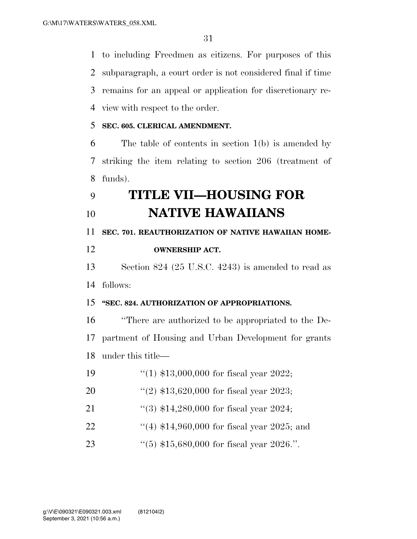to including Freedmen as citizens. For purposes of this subparagraph, a court order is not considered final if time remains for an appeal or application for discretionary re-view with respect to the order.

### **SEC. 605. CLERICAL AMENDMENT.**

 The table of contents in section 1(b) is amended by striking the item relating to section 206 (treatment of funds).

# **TITLE VII—HOUSING FOR NATIVE HAWAIIANS**

**SEC. 701. REAUTHORIZATION OF NATIVE HAWAIIAN HOME-**

## **OWNERSHIP ACT.**

 Section 824 (25 U.S.C. 4243) is amended to read as follows:

### **''SEC. 824. AUTHORIZATION OF APPROPRIATIONS.**

 ''There are authorized to be appropriated to the De- partment of Housing and Urban Development for grants under this title—

- ''(1) \$13,000,000 for fiscal year 2022;
- ''(2) \$13,620,000 for fiscal year 2023;
- 21 ''(3) \$14,280,000 for fiscal year 2024;
- 22 ''(4) \$14,960,000 for fiscal year 2025; and
- ''(5) \$15,680,000 for fiscal year 2026.''.